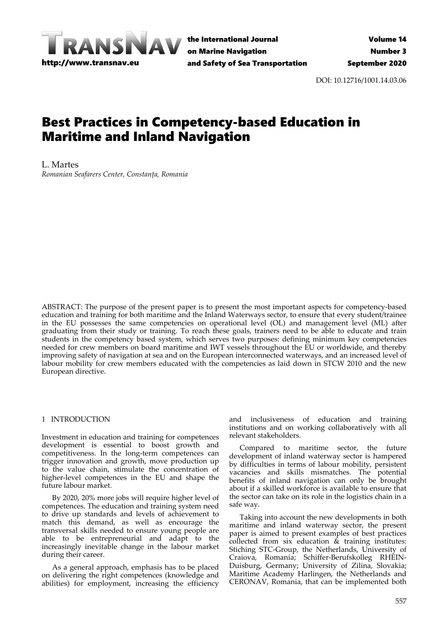

the International Journal on Marine Navigation and Safety of Sea Transportation

DOI: 10.12716/1001.14.03.06

# Best Practices in Competency-based Education in Maritime and Inland Navigation

L. Martes *Romanian Seafarers Center, Constanța, Romania*

ABSTRACT: The purpose of the present paper is to present the most important aspects for competency-based education and training for both maritime and the Inland Waterways sector, to ensure that every student/trainee in the EU possesses the same competencies on operational level (OL) and management level (ML) after graduating from their study or training. To reach these goals, trainers need to be able to educate and train students in the competency based system, which serves two purposes: defining minimum key competencies needed for crew members on board maritime and IWT vessels throughout the EU or worldwide, and thereby improving safety of navigation at sea and on the European interconnected waterways, and an increased level of labour mobility for crew members educated with the competencies as laid down in STCW 2010 and the new European directive.

#### 1 INTRODUCTION

Investment in education and training for competences development is essential to boost growth and competitiveness. In the long-term competences can trigger innovation and growth, move production up to the value chain, stimulate the concentration of higher-level competences in the EU and shape the future labour market.

By 2020, 20% more jobs will require higher level of competences. The education and training system need to drive up standards and levels of achievement to match this demand, as well as encourage the transversal skills needed to ensure young people are able to be entrepreneurial and adapt to the increasingly inevitable change in the labour market during their career.

As a general approach, emphasis has to be placed on delivering the right competences (knowledge and abilities) for employment, increasing the efficiency and inclusiveness of education and training institutions and on working collaboratively with all relevant stakeholders.

Compared to maritime sector, the future development of inland waterway sector is hampered by difficulties in terms of labour mobility, persistent vacancies and skills mismatches. The potential benefits of inland navigation can only be brought about if a skilled workforce is available to ensure that the sector can take on its role in the logistics chain in a safe way.

Taking into account the new developments in both maritime and inland waterway sector, the present paper is aimed to present examples of best practices collected from  $\sin$  education  $\&$  training institutes: Stiching STC-Group, the Netherlands, University of Craiova, Romania; Schiffer-Berufskolleg RHEIN-Duisburg, Germany; University of Zilina, Slovakia; Maritime Academy Harlingen, the Netherlands and CERONAV, Romania, that can be implemented both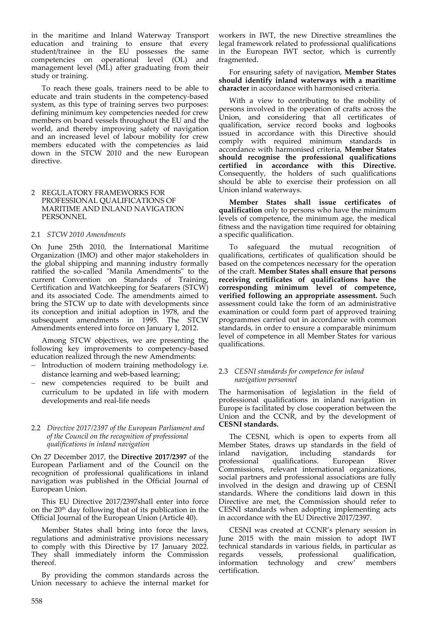in the maritime and Inland Waterway Transport education and training to ensure that every student/trainee in the EU possesses the same competencies on operational level (OL) and management level (ML) after graduating from their study or training.

To reach these goals, trainers need to be able to educate and train students in the competency-based system, as this type of training serves two purposes: defining minimum key competencies needed for crew members on board vessels throughout the EU and the world, and thereby improving safety of navigation and an increased level of labour mobility for crew members educated with the competencies as laid down in the STCW 2010 and the new European directive.

#### 2 REGULATORY FRAMEWORKS FOR PROFESSIONAL QUALIFICATIONS OF MARITIME AND INLAND NAVIGATION PERSONNEL

#### 2.1 *STCW 2010 Amendments*

On June 25th 2010, the International Maritime Organization (IMO) and other major stakeholders in the global shipping and manning industry formally ratified the so-called "Manila Amendments" to the current Convention on Standards of Training, Certification and Watchkeeping for Seafarers (STCW) and its associated Code. The amendments aimed to bring the STCW up to date with developments since its conception and initial adoption in 1978, and the subsequent amendments in 1995. The STCW Amendments entered into force on January 1, 2012.

Among STCW objectives, we are presenting the following key improvements to competency-based education realized through the new Amendments:

- − Introduction of modern training methodology i.e. distance learning and web-based learning;
- − new competencies required to be built and curriculum to be updated in life with modern developments and real-life needs

#### 2.2 *Directive 2017/2397 of the European Parliament and of the Council on the recognition of professional qualifications in inland navigation*

On 27 December 2017, the **Directive 2017/2397** of the European Parliament and of the Council on the recognition of professional qualifications in inland navigation was published in the Official Journal of European Union.

This EU Directive 2017/2397shall enter into force on the  $20<sup>th</sup>$  day following that of its publication in the Official Journal of the European Union (Article 40).

Member States shall bring into force the laws, regulations and administrative provisions necessary to comply with this Directive by 17 January 2022. They shall immediately inform the Commission thereof.

By providing the common standards across the Union necessary to achieve the internal market for

workers in IWT, the new Directive streamlines the legal framework related to professional qualifications in the European IWT sector, which is currently fragmented.

For ensuring safety of navigation, **Member States should identify inland waterways with a maritime character** in accordance with harmonised criteria.

With a view to contributing to the mobility of persons involved in the operation of crafts across the Union, and considering that all certificates of qualification, service record books and logbooks issued in accordance with this Directive should comply with required minimum standards in accordance with harmonised criteria, **Member States should recognise the professional qualifications certified in accordance with this Directive.** Consequently, the holders of such qualifications should be able to exercise their profession on all Union inland waterways.

**Member States shall issue certificates of qualification** only to persons who have the minimum levels of competence, the minimum age, the medical fitness and the navigation time required for obtaining a specific qualification.

To safeguard the mutual recognition of qualifications, certificates of qualification should be based on the competences necessary for the operation of the craft. **Member States shall ensure that persons receiving certificates of qualifications have the corresponding minimum level of competence, verified following an appropriate assessment.** Such assessment could take the form of an administrative examination or could form part of approved training programmes carried out in accordance with common standards, in order to ensure a comparable minimum level of competence in all Member States for various qualifications.

#### 2.3 *CESNI standards for competence for inland navigation personnel*

The harmonisation of legislation in the field of professional qualifications in inland navigation in Europe is facilitated by close cooperation between the Union and the CCNR, and by the development of **CESNI standards.**

The CESNI, which is open to experts from all Member States, draws up standards in the field of inland navigation, including standards for professional qualifications. European River Commissions, relevant international organizations, social partners and professional associations are fully involved in the design and drawing up of CESNI standards. Where the conditions laid down in this Directive are met, the Commission should refer to CESNI standards when adopting implementing acts in accordance with the EU Directive 2017/2397.

CESNI was created at CCNR's plenary session in June 2015 with the main mission to adopt IWT technical standards in various fields, in particular as regards vessels, professional qualification, information technology and crew certification.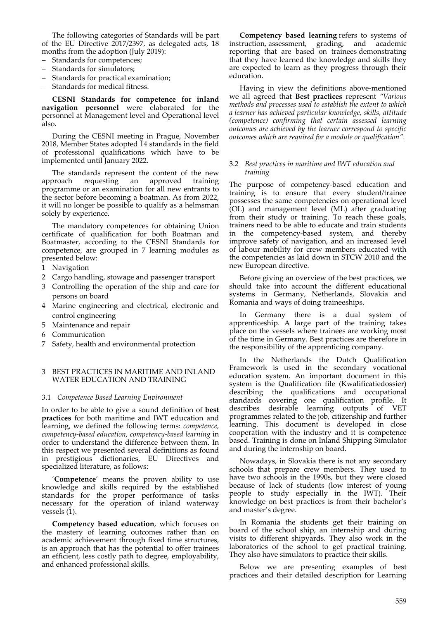The following categories of Standards will be part of the EU Directive 2017/2397, as delegated acts, 18 months from the adoption (July 2019):

- − Standards for competences;
- Standards for simulators;
- Standards for practical examination;
- − Standards for medical fitness.

**CESNI Standards for competence for inland navigation personnel** were elaborated for the personnel at Management level and Operational level also.

During the CESNI meeting in Prague, November 2018, Member States adopted 14 standards in the field of professional qualifications which have to be implemented until January 2022.

The standards represent the content of the new approach requesting an approved training programme or an examination for all new entrants to the sector before becoming a boatman. As from 2022, it will no longer be possible to qualify as a helmsman solely by experience.

The mandatory competences for obtaining Union certificate of qualification for both Boatman and Boatmaster, according to the CESNI Standards for competence, are grouped in 7 learning modules as presented below:

- 1 Navigation
- 2 Cargo handling, stowage and passenger transport
- 3 Controlling the operation of the ship and care for persons on board
- 4 Marine engineering and electrical, electronic and control engineering
- 5 Maintenance and repair
- 6 Communication
- 7 Safety, health and environmental protection

#### 3 BEST PRACTICES IN MARITIME AND INLAND WATER EDUCATION AND TRAINING

#### 3.1 *Competence Based Learning Environment*

In order to be able to give a sound definition of **best practices** for both maritime and IWT education and learning, we defined the following terms: *competence, competency-based education, competency-based learning* in order to understand the difference between them. In this respect we presented several definitions as found in prestigious dictionaries, EU Directives and specialized literature, as follows:

'**Competence**' means the proven ability to use knowledge and skills required by the established standards for the proper performance of tasks necessary for the operation of inland waterway vessels (1).

**Competency based education**, which focuses on the mastery of learning outcomes rather than on academic achievement through fixed time structures, is an approach that has the potential to offer trainees an efficient, less costly path to degree, employability, and enhanced professional skills.

**Competency based learning** refers to systems of instruction, [assessment,](http://edglossary.org/assessment/) grading, and academic reporting that are based on trainees demonstrating that they have learned the knowledge and skills they are expected to learn as they progress through their education.

Having in view the definitions above-mentioned we all agreed that **Best practices** represent *"Various methods and processes used to establish the extent to which a learner has achieved particular knowledge, skills, attitude (competence) confirming that certain assessed learning outcomes are achieved by the learner correspond to specific outcomes which are required for a module or qualification".*

#### 3.2 *Best practices in maritime and IWT education and training*

The purpose of competency-based education and training is to ensure that every student/trainee possesses the same competencies on operational level (OL) and management level (ML) after graduating from their study or training. To reach these goals, trainers need to be able to educate and train students in the competency-based system, and thereby improve safety of navigation, and an increased level of labour mobility for crew members educated with the competencies as laid down in STCW 2010 and the new European directive.

Before giving an overview of the best practices, we should take into account the different educational systems in Germany, Netherlands, Slovakia and Romania and ways of doing traineeships.

In Germany there is a dual system of apprenticeship. A large part of the training takes place on the vessels where trainees are working most of the time in Germany. Best practices are therefore in the responsibility of the apprenticing company.

In the Netherlands the Dutch Qualification Framework is used in the secondary vocational education system. An important document in this system is the Qualification file (Kwalificatiedossier) describing the qualifications and occupational standards covering one qualification profile. It describes desirable learning outputs of VET programmes related to the job, citizenship and further learning. This document is developed in close cooperation with the industry and it is competence based. Training is done on Inland Shipping Simulator and during the internship on board.

Nowadays, in Slovakia there is not any secondary schools that prepare crew members. They used to have two schools in the 1990s, but they were closed because of lack of students (low interest of young people to study especially in the IWT). Their knowledge on best practices is from their bachelor's and master's degree.

In Romania the students get their training on board of the school ship, an internship and during visits to different shipyards. They also work in the laboratories of the school to get practical training. They also have simulators to practice their skills.

Below we are presenting examples of best practices and their detailed description for Learning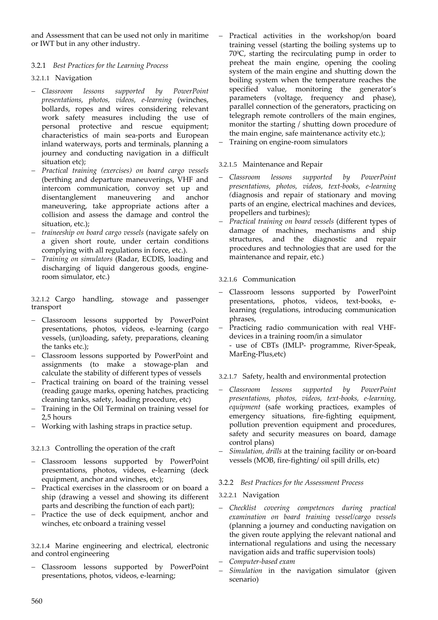and Assessment that can be used not only in maritime or IWT but in any other industry.

# 3.2.1 *Best Practices for the Learning Process*

# 3.2.1.1 Navigation

- − *Classroom lessons supported by PowerPoint presentations, photos, videos, e-learning* (winches, bollards, ropes and wires considering relevant work safety measures including the use of personal protective and rescue equipment; characteristics of main sea-ports and European inland waterways, ports and terminals, planning a journey and conducting navigation in a difficult situation etc);
- − *Practical training (exercises) on board cargo vessels* (berthing and departure maneuverings, VHF and intercom communication, convoy set up and disentanglement maneuvering and anchor maneuvering, take appropriate actions after a collision and assess the damage and control the situation, etc.);
- − *traineeship on board cargo vessels* (navigate safely on a given short route, under certain conditions complying with all regulations in force, etc.).
- − *Training on simulators* (Radar, ECDIS, loading and discharging of liquid dangerous goods, engineroom simulator, etc.)

3.2.1.2 Cargo handling, stowage and passenger transport

- − Classroom lessons supported by PowerPoint presentations, photos, videos, e-learning (cargo vessels, (un)loading, safety, preparations, cleaning the tanks etc.);
- − Classroom lessons supported by PowerPoint and assignments (to make a stowage-plan and calculate the stability of different types of vessels
- − Practical training on board of the training vessel (reading gauge marks, opening hatches, practicing cleaning tanks, safety, loading procedure, etc)
- Training in the Oil Terminal on training vessel for 2,5 hours
- − Working with lashing straps in practice setup.

# 3.2.1.3 Controlling the operation of the craft

- − Classroom lessons supported by PowerPoint presentations, photos, videos, e-learning (deck equipment, anchor and winches, etc);
- Practical exercises in the classroom or on board a ship (drawing a vessel and showing its different parts and describing the function of each part);
- − Practice the use of deck equipment, anchor and winches, etc onboard a training vessel

3.2.1.4 Marine engineering and electrical, electronic and control engineering

− Classroom lessons supported by PowerPoint presentations, photos, videos, e-learning;

- − Practical activities in the workshop/on board training vessel (starting the boiling systems up to 70<sup>o</sup>C, starting the recirculating pump in order to preheat the main engine, opening the cooling system of the main engine and shutting down the boiling system when the temperature reaches the specified value, monitoring the generator's parameters (voltage, frequency and phase), parallel connection of the generators, practicing on telegraph remote controllers of the main engines, monitor the starting / shutting down procedure of the main engine, safe maintenance activity etc.);
- − Training on engine-room simulators

# 3.2.1.5 Maintenance and Repair

- − *Classroom lessons supported by PowerPoint presentations, photos, videos, text-books, e-learning (*diagnosis and repair of stationary and moving parts of an engine, electrical machines and devices, propellers and turbines);
- − *Practical training on board vessels* (different types of damage of machines, mechanisms and ship structures, and the diagnostic and repair procedures and technologies that are used for the maintenance and repair, etc.)

3.2.1.6 Communication

- − Classroom lessons supported by PowerPoint presentations, photos, videos, text-books, elearning (regulations, introducing communication phrases,
- − Practicing radio communication with real VHFdevices in a training room/in a simulator
	- use of CBTs (IMLP- programme, River-Speak, MarEng-Plus,etc)

# 3.2.1.7 Safety, health and environmental protection

- − *Classroom lessons supported by PowerPoint presentations, photos, videos, text-books, e-learning, equipment* (safe working practices, examples of emergency situations, fire-fighting equipment, pollution prevention equipment and procedures, safety and security measures on board, damage control plans)
- Simulation, drills at the training facility or on-board vessels (MOB, fire-fighting/ oil spill drills, etc)

# 3.2.2 *Best Practices for the Assessment Process*

# 3.2.2.1 Navigation

- − *Checklist covering competences during practical examination on board training vessel/cargo vessels* (planning a journey and conducting navigation on the given route applying the relevant national and international regulations and using the necessary navigation aids and traffic supervision tools)
- − *Computer-based exam*
- Simulation in the navigation simulator (given scenario)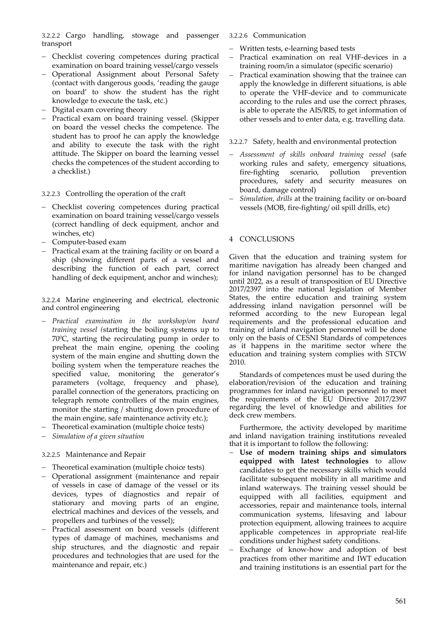3.2.2.2 Cargo handling, stowage and passenger transport

- − Checklist covering competences during practical examination on board training vessel/cargo vessels
- − Operational Assignment about Personal Safety (contact with dangerous goods, 'reading the gauge on board' to show the student has the right knowledge to execute the task, etc.)
- − Digital exam covering theory
- − Practical exam on board training vessel. (Skipper on board the vessel checks the competence. The student has to proof he can apply the knowledge and ability to execute the task with the right attitude. The Skipper on board the learning vessel checks the competences of the student according to a checklist.)

## 3.2.2.3 Controlling the operation of the craft

- − Checklist covering competences during practical examination on board training vessel/cargo vessels (correct handling of deck equipment, anchor and winches, etc)
- − Computer-based exam
- − Practical exam at the training facility or on board a ship (showing different parts of a vessel and describing the function of each part, correct handling of deck equipment, anchor and winches);

#### 3.2.2.4 Marine engineering and electrical, electronic and control engineering

- − *Practical examination in the workshop/on board training vessel (*starting the boiling systems up to  $70^{\circ}$ C, starting the recirculating pump in order to preheat the main engine, opening the cooling system of the main engine and shutting down the boiling system when the temperature reaches the specified value, monitoring the generator's parameters (voltage, frequency and phase), parallel connection of the generators, practicing on telegraph remote controllers of the main engines, monitor the starting / shutting down procedure of the main engine, safe maintenance activity etc.);
- Theoretical examination (multiple choice tests)
- − *Simulation of a given situation*

# 3.2.2.5 Maintenance and Repair

- − Theoretical examination (multiple choice tests)
- − Operational assignment (maintenance and repair of vessels in case of damage of the vessel or its devices, types of diagnostics and repair of stationary and moving parts of an engine, electrical machines and devices of the vessels, and propellers and turbines of the vessel);
- Practical assessment on board vessels (different types of damage of machines, mechanisms and ship structures, and the diagnostic and repair procedures and technologies that are used for the maintenance and repair, etc.)

#### 3.2.2.6 Communication

- − Written tests, e-learning based tests
- Practical examination on real VHF-devices in a training room/in a simulator (specific scenario)
- Practical examination showing that the trainee can apply the knowledge in different situations, is able to operate the VHF-device and to communicate according to the rules and use the correct phrases, is able to operate the AIS/RIS, to get information of other vessels and to enter data, e.g. travelling data.

## 3.2.2.7 Safety, health and environmental protection

- − *Assessment of skills onboard training vessel* (safe working rules and safety, emergency situations, fire-fighting scenario, pollution prevention procedures, safety and security measures on board, damage control)
- Simulation, drills at the training facility or on-board vessels (MOB, fire-fighting/ oil spill drills, etc)

# 4 CONCLUSIONS

Given that the education and training system for maritime navigation has already been changed and for inland navigation personnel has to be changed until 2022, as a result of transposition of EU Directive 2017/2397 into the national legislation of Member States, the entire education and training system addressing inland navigation personnel will be reformed according to the new European legal requirements and the professional education and training of inland navigation personnel will be done only on the basis of CESNI Standards of competences as it happens in the maritime sector where the education and training system complies with STCW 2010.

Standards of competences must be used during the elaboration/revision of the education and training programmes for inland navigation personnel to meet the requirements of the EU Directive 2017/2397 regarding the level of knowledge and abilities for deck crew members.

Furthermore, the activity developed by maritime and inland navigation training institutions revealed that it is important to follow the following:

- − **Use of modern training ships and simulators equipped with latest technologies** to allow candidates to get the necessary skills which would facilitate subsequent mobility in all maritime and inland waterways. The training vessel should be equipped with all facilities, equipment and accessories, repair and maintenance tools, internal communication systems, lifesaving and labour protection equipment, allowing trainees to acquire applicable competences in appropriate real-life conditions under highest safety conditions.
- Exchange of know-how and adoption of best practices from other maritime and IWT education and training institutions is an essential part for the